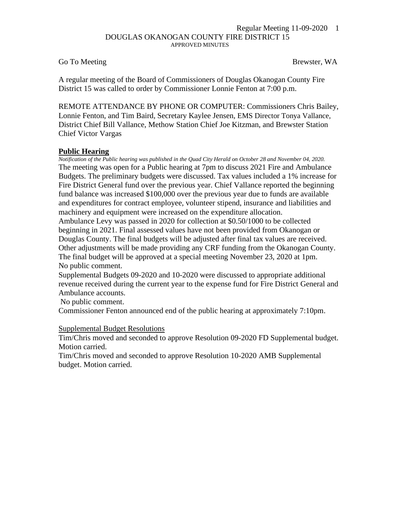#### Regular Meeting 11-09-2020 1 DOUGLAS OKANOGAN COUNTY FIRE DISTRICT 15 APPROVED MINUTES

## Go To Meeting Brewster, WA

A regular meeting of the Board of Commissioners of Douglas Okanogan County Fire District 15 was called to order by Commissioner Lonnie Fenton at 7:00 p.m.

REMOTE ATTENDANCE BY PHONE OR COMPUTER: Commissioners Chris Bailey, Lonnie Fenton, and Tim Baird, Secretary Kaylee Jensen, EMS Director Tonya Vallance, District Chief Bill Vallance, Methow Station Chief Joe Kitzman, and Brewster Station Chief Victor Vargas

## **Public Hearing**

*Notification of the Public hearing was published in the Quad City Herald on October 28 and November 04, 2020.* The meeting was open for a Public hearing at 7pm to discuss 2021 Fire and Ambulance Budgets. The preliminary budgets were discussed. Tax values included a 1% increase for Fire District General fund over the previous year. Chief Vallance reported the beginning fund balance was increased \$100,000 over the previous year due to funds are available and expenditures for contract employee, volunteer stipend, insurance and liabilities and machinery and equipment were increased on the expenditure allocation.

Ambulance Levy was passed in 2020 for collection at \$0.50/1000 to be collected beginning in 2021. Final assessed values have not been provided from Okanogan or Douglas County. The final budgets will be adjusted after final tax values are received. Other adjustments will be made providing any CRF funding from the Okanogan County. The final budget will be approved at a special meeting November 23, 2020 at 1pm. No public comment.

Supplemental Budgets 09-2020 and 10-2020 were discussed to appropriate additional revenue received during the current year to the expense fund for Fire District General and Ambulance accounts.

No public comment.

Commissioner Fenton announced end of the public hearing at approximately 7:10pm.

#### Supplemental Budget Resolutions

Tim/Chris moved and seconded to approve Resolution 09-2020 FD Supplemental budget. Motion carried.

Tim/Chris moved and seconded to approve Resolution 10-2020 AMB Supplemental budget. Motion carried.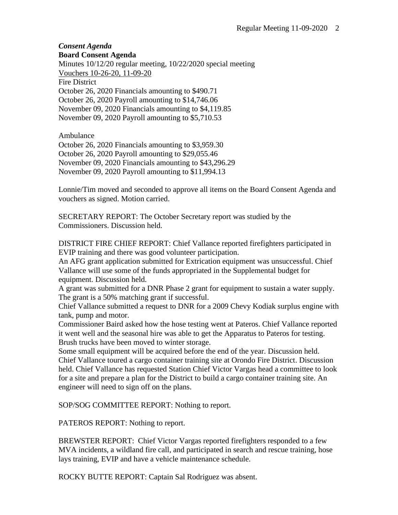# *Consent Agenda* **Board Consent Agenda**

Minutes 10/12/20 regular meeting, 10/22/2020 special meeting Vouchers 10-26-20, 11-09-20 Fire District October 26, 2020 Financials amounting to \$490.71 October 26, 2020 Payroll amounting to \$14,746.06 November 09, 2020 Financials amounting to \$4,119.85 November 09, 2020 Payroll amounting to \$5,710.53

Ambulance

October 26, 2020 Financials amounting to \$3,959.30 October 26, 2020 Payroll amounting to \$29,055.46 November 09, 2020 Financials amounting to \$43,296.29 November 09, 2020 Payroll amounting to \$11,994.13

Lonnie/Tim moved and seconded to approve all items on the Board Consent Agenda and vouchers as signed. Motion carried.

SECRETARY REPORT: The October Secretary report was studied by the Commissioners. Discussion held.

DISTRICT FIRE CHIEF REPORT: Chief Vallance reported firefighters participated in EVIP training and there was good volunteer participation.

An AFG grant application submitted for Extrication equipment was unsuccessful. Chief Vallance will use some of the funds appropriated in the Supplemental budget for equipment. Discussion held.

A grant was submitted for a DNR Phase 2 grant for equipment to sustain a water supply. The grant is a 50% matching grant if successful.

Chief Vallance submitted a request to DNR for a 2009 Chevy Kodiak surplus engine with tank, pump and motor.

Commissioner Baird asked how the hose testing went at Pateros. Chief Vallance reported it went well and the seasonal hire was able to get the Apparatus to Pateros for testing. Brush trucks have been moved to winter storage.

Some small equipment will be acquired before the end of the year. Discussion held. Chief Vallance toured a cargo container training site at Orondo Fire District. Discussion held. Chief Vallance has requested Station Chief Victor Vargas head a committee to look for a site and prepare a plan for the District to build a cargo container training site. An engineer will need to sign off on the plans.

SOP/SOG COMMITTEE REPORT: Nothing to report.

PATEROS REPORT: Nothing to report.

BREWSTER REPORT: Chief Victor Vargas reported firefighters responded to a few MVA incidents, a wildland fire call, and participated in search and rescue training, hose lays training, EVIP and have a vehicle maintenance schedule.

ROCKY BUTTE REPORT: Captain Sal Rodriguez was absent.